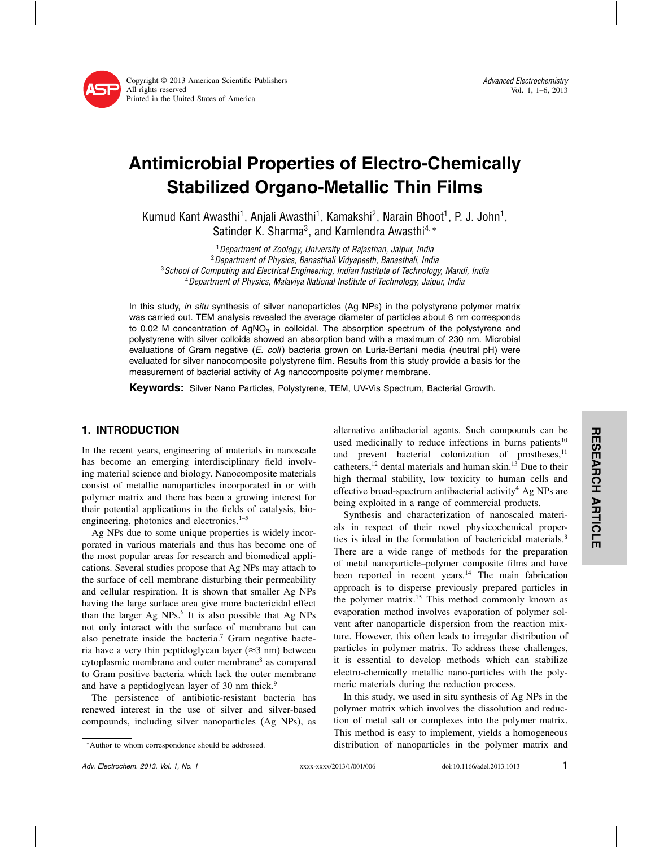

Advanced Electrochemistry Vol. 1, 1–6, 2013

# Antimicrobial Properties of Electro-Chemically Stabilized Organo-Metallic Thin Films

Kumud Kant Awasthi<sup>1</sup>, Anjali Awasthi<sup>1</sup>, Kamakshi<sup>2</sup>, Narain Bhoot<sup>1</sup>, P. J. John<sup>1</sup>, Satinder K. Sharma<sup>3</sup>, and Kamlendra Awasthi<sup>4,\*</sup>

<sup>1</sup> Department of Zoology, University of Rajasthan, Jaipur, India<br><sup>2</sup> Department of Physics, Banasthali Vidyapeeth, Banasthali, India  $3$ School of Computing and Electrical Engineering, Indian Institute of Technology, Mandi, India<br> $4$ Department of Physics, Malaviya National Institute of Technology, Jaipur, India

In this study, in situ synthesis of silver nanoparticles (Ag NPs) in the polystyrene polymer matrix was carried out. TEM analysis revealed the average diameter of particles about 6 nm corresponds to 0.02 M concentration of  $AgNO<sub>3</sub>$  in colloidal. The absorption spectrum of the polystyrene and polystyrene with silver colloids showed an absorption band with a maximum of 230 nm. Microbial evaluations of Gram negative  $(E. \text{ coli})$  bacteria grown on Luria-Bertani media (neutral pH) were evaluated for silver nanocomposite polystyrene film. Results from this study provide a basis for the measurement of bacterial activity of Ag nanocomposite polymer membrane.

Keywords: Silver Nano Particles, Polystyrene, TEM, UV-Vis Spectrum, Bacterial Growth.

# 1. INTRODUCTION

In the recent years, engineering of materials in nanoscale has become an emerging interdisciplinary field involving material science and biology. Nanocomposite materials consist of metallic nanoparticles incorporated in or with polymer matrix and there has been a growing interest for their potential applications in the fields of catalysis, bioengineering, photonics and electronics.<sup>1-5</sup>

Ag NPs due to some unique properties is widely incorporated in various materials and thus has become one of the most popular areas for research and biomedical applications. Several studies propose that Ag NPs may attach to the surface of cell membrane disturbing their permeability and cellular respiration. It is shown that smaller Ag NPs having the large surface area give more bactericidal effect than the larger Ag NPs.<sup>6</sup> It is also possible that Ag NPs not only interact with the surface of membrane but can also penetrate inside the bacteria.<sup>7</sup> Gram negative bacteria have a very thin peptidoglycan layer ( $\approx$ 3 nm) between cytoplasmic membrane and outer membrane8 as compared to Gram positive bacteria which lack the outer membrane and have a peptidoglycan layer of 30 nm thick.<sup>9</sup>

The persistence of antibiotic-resistant bacteria has renewed interest in the use of silver and silver-based compounds, including silver nanoparticles (Ag NPs), as

Synthesis and characterization of nanoscaled materials in respect of their novel physicochemical properties is ideal in the formulation of bactericidal materials.<sup>8</sup> There are a wide range of methods for the preparation of metal nanoparticle–polymer composite films and have been reported in recent years.<sup>14</sup> The main fabrication approach is to disperse previously prepared particles in the polymer matrix.<sup>15</sup> This method commonly known as evaporation method involves evaporation of polymer solvent after nanoparticle dispersion from the reaction mixture. However, this often leads to irregular distribution of particles in polymer matrix. To address these challenges, it is essential to develop methods which can stabilize electro-chemically metallic nano-particles with the polymeric materials during the reduction process.

In this study, we used in situ synthesis of Ag NPs in the polymer matrix which involves the dissolution and reduction of metal salt or complexes into the polymer matrix. This method is easy to implement, yields a homogeneous distribution of nanoparticles in the polymer matrix and

alternative antibacterial agents. Such compounds can be used medicinally to reduce infections in burns patients<sup>10</sup> and prevent bacterial colonization of prostheses,<sup>11</sup> catheters,<sup>12</sup> dental materials and human skin.<sup>13</sup> Due to their high thermal stability, low toxicity to human cells and effective broad-spectrum antibacterial activity<sup>4</sup> Ag NPs are being exploited in a range of commercial products.

<sup>∗</sup>Author to whom correspondence should be addressed.

Adv. Electrochem. 2013, Vol. 1, No. 1 **1** xxxx-xxxx/2013/1/001/006 doi:10.1166/adel.2013.1013 **1**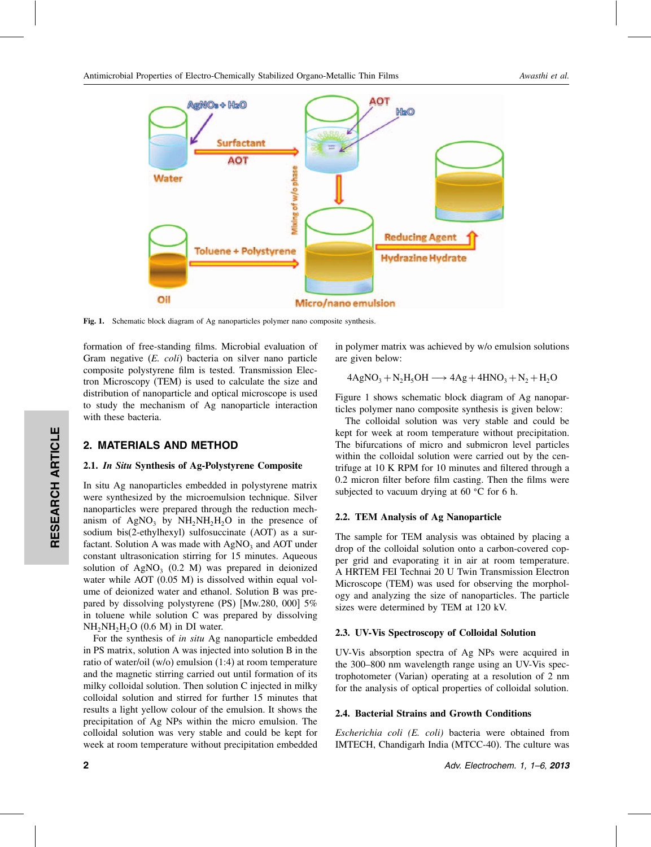

Fig. 1. Schematic block diagram of Ag nanoparticles polymer nano composite synthesis.

formation of free-standing films. Microbial evaluation of Gram negative (*E. coli*) bacteria on silver nano particle composite polystyrene film is tested. Transmission Electron Microscopy (TEM) is used to calculate the size and distribution of nanoparticle and optical microscope is used to study the mechanism of Ag nanoparticle interaction with these bacteria.

## 2. MATERIALS AND METHOD

#### 2.1. In Situ Synthesis of Ag-Polystyrene Composite

In situ Ag nanoparticles embedded in polystyrene matrix were synthesized by the microemulsion technique. Silver nanoparticles were prepared through the reduction mechanism of AgNO<sub>3</sub> by  $NH<sub>2</sub>NH<sub>2</sub>H<sub>2</sub>O$  in the presence of sodium bis(2-ethylhexyl) sulfosuccinate (AOT) as a surfactant. Solution A was made with  $AgNO<sub>3</sub>$  and AOT under constant ultrasonication stirring for 15 minutes. Aqueous solution of AgNO<sub>3</sub> (0.2 M) was prepared in deionized water while AOT (0.05 M) is dissolved within equal volume of deionized water and ethanol. Solution B was prepared by dissolving polystyrene (PS) [Mw.280, 000] 5% in toluene while solution C was prepared by dissolving  $NH<sub>2</sub>NH<sub>2</sub>H<sub>2</sub>O$  (0.6 M) in DI water.

For the synthesis of *in situ* Ag nanoparticle embedded in PS matrix, solution A was injected into solution B in the ratio of water/oil (w/o) emulsion (1:4) at room temperature and the magnetic stirring carried out until formation of its milky colloidal solution. Then solution C injected in milky colloidal solution and stirred for further 15 minutes that results a light yellow colour of the emulsion. It shows the precipitation of Ag NPs within the micro emulsion. The colloidal solution was very stable and could be kept for week at room temperature without precipitation embedded

in polymer matrix was achieved by w/o emulsion solutions are given below:

$$
4\text{AgNO}_3 + \text{N}_2\text{H}_5\text{OH} \longrightarrow 4\text{Ag} + 4\text{HNO}_3 + \text{N}_2 + \text{H}_2\text{O}
$$

Figure 1 shows schematic block diagram of Ag nanoparticles polymer nano composite synthesis is given below:

The colloidal solution was very stable and could be kept for week at room temperature without precipitation. The bifurcations of micro and submicron level particles within the colloidal solution were carried out by the centrifuge at 10 K RPM for 10 minutes and filtered through a 0.2 micron filter before film casting. Then the films were subjected to vacuum drying at 60  $^{\circ}$ C for 6 h.

## 2.2. TEM Analysis of Ag Nanoparticle

The sample for TEM analysis was obtained by placing a drop of the colloidal solution onto a carbon-covered copper grid and evaporating it in air at room temperature. A HRTEM FEI Technai 20 U Twin Transmission Electron Microscope (TEM) was used for observing the morphology and analyzing the size of nanoparticles. The particle sizes were determined by TEM at 120 kV.

#### 2.3. UV-Vis Spectroscopy of Colloidal Solution

UV-Vis absorption spectra of Ag NPs were acquired in the 300–800 nm wavelength range using an UV-Vis spectrophotometer (Varian) operating at a resolution of 2 nm for the analysis of optical properties of colloidal solution.

#### 2.4. Bacterial Strains and Growth Conditions

*Escherichia coli (E. coli)* bacteria were obtained from IMTECH, Chandigarh India (MTCC-40). The culture was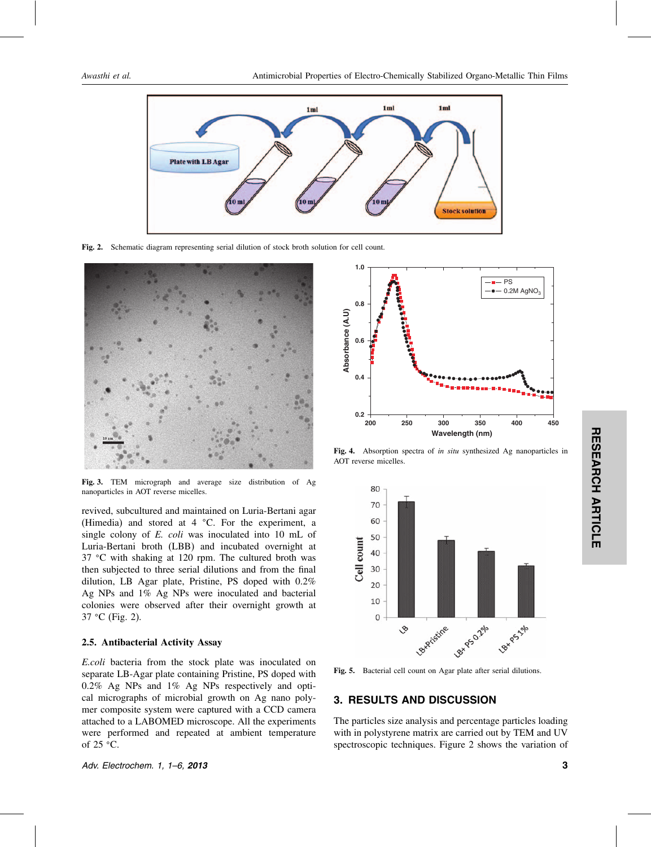

Fig. 2. Schematic diagram representing serial dilution of stock broth solution for cell count.



Fig. 3. TEM micrograph and average size distribution of Ag nanoparticles in AOT reverse micelles.

revived, subcultured and maintained on Luria-Bertani agar (Himedia) and stored at  $4 \degree C$ . For the experiment, a single colony of *E. coli* was inoculated into 10 mL of Luria-Bertani broth (LBB) and incubated overnight at 37 °C with shaking at 120 rpm. The cultured broth was then subjected to three serial dilutions and from the final dilution, LB Agar plate, Pristine, PS doped with 0.2% Ag NPs and 1% Ag NPs were inoculated and bacterial colonies were observed after their overnight growth at  $37 °C$  (Fig. 2).

#### 2.5. Antibacterial Activity Assay

*E.coli* bacteria from the stock plate was inoculated on separate LB-Agar plate containing Pristine, PS doped with 0.2% Ag NPs and 1% Ag NPs respectively and optical micrographs of microbial growth on Ag nano polymer composite system were captured with a CCD camera attached to a LABOMED microscope. All the experiments were performed and repeated at ambient temperature of  $25 \text{ °C}$ .

Adv. Electrochem. 1, 1–6, 2013 3



Fig. 4. Absorption spectra of *in situ* synthesized Ag nanoparticles in AOT reverse micelles.



Fig. 5. Bacterial cell count on Agar plate after serial dilutions.

## 3. RESULTS AND DISCUSSION

The particles size analysis and percentage particles loading with in polystyrene matrix are carried out by TEM and UV spectroscopic techniques. Figure 2 shows the variation of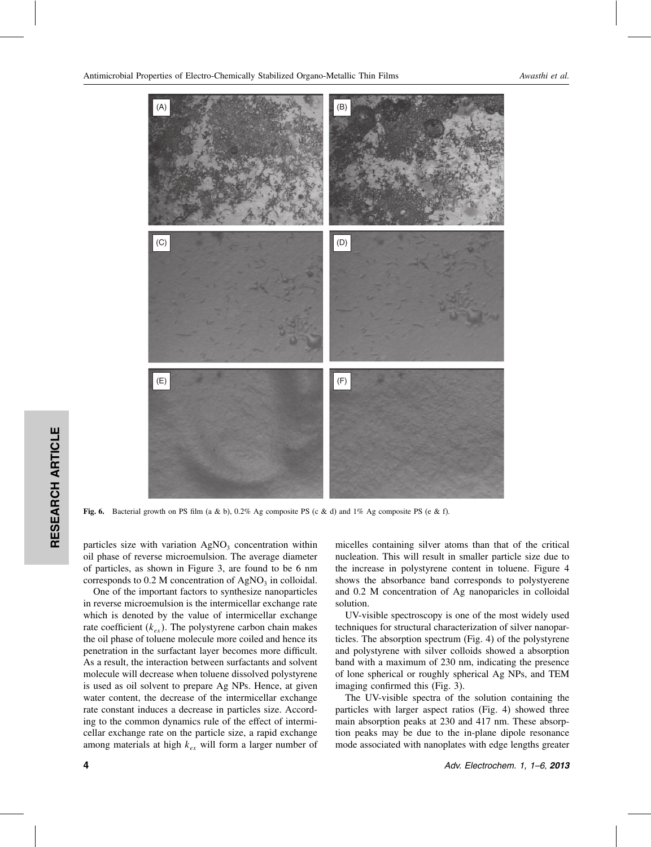Antimicrobial Properties of Electro-Chemically Stabilized Organo-Metallic Thin Films *Awasthi et al.*



Fig. 6. Bacterial growth on PS film (a & b), 0.2% Ag composite PS (c & d) and 1% Ag composite PS (e & f).

particles size with variation  $AgNO<sub>3</sub>$  concentration within oil phase of reverse microemulsion. The average diameter of particles, as shown in Figure 3, are found to be 6 nm corresponds to  $0.2$  M concentration of AgNO<sub>3</sub> in colloidal.

One of the important factors to synthesize nanoparticles in reverse microemulsion is the intermicellar exchange rate which is denoted by the value of intermicellar exchange rate coefficient  $(k_{ex})$ . The polystyrene carbon chain makes the oil phase of toluene molecule more coiled and hence its penetration in the surfactant layer becomes more difficult. As a result, the interaction between surfactants and solvent molecule will decrease when toluene dissolved polystyrene is used as oil solvent to prepare Ag NPs. Hence, at given water content, the decrease of the intermicellar exchange rate constant induces a decrease in particles size. According to the common dynamics rule of the effect of intermicellar exchange rate on the particle size, a rapid exchange among materials at high  $k_{ex}$  will form a larger number of

micelles containing silver atoms than that of the critical nucleation. This will result in smaller particle size due to the increase in polystyrene content in toluene. Figure 4 shows the absorbance band corresponds to polystyerene and 0.2 M concentration of Ag nanoparicles in colloidal solution.

UV-visible spectroscopy is one of the most widely used techniques for structural characterization of silver nanoparticles. The absorption spectrum (Fig. 4) of the polystyrene and polystyrene with silver colloids showed a absorption band with a maximum of 230 nm, indicating the presence of lone spherical or roughly spherical Ag NPs, and TEM imaging confirmed this (Fig. 3).

The UV-visible spectra of the solution containing the particles with larger aspect ratios (Fig. 4) showed three main absorption peaks at 230 and 417 nm. These absorption peaks may be due to the in-plane dipole resonance mode associated with nanoplates with edge lengths greater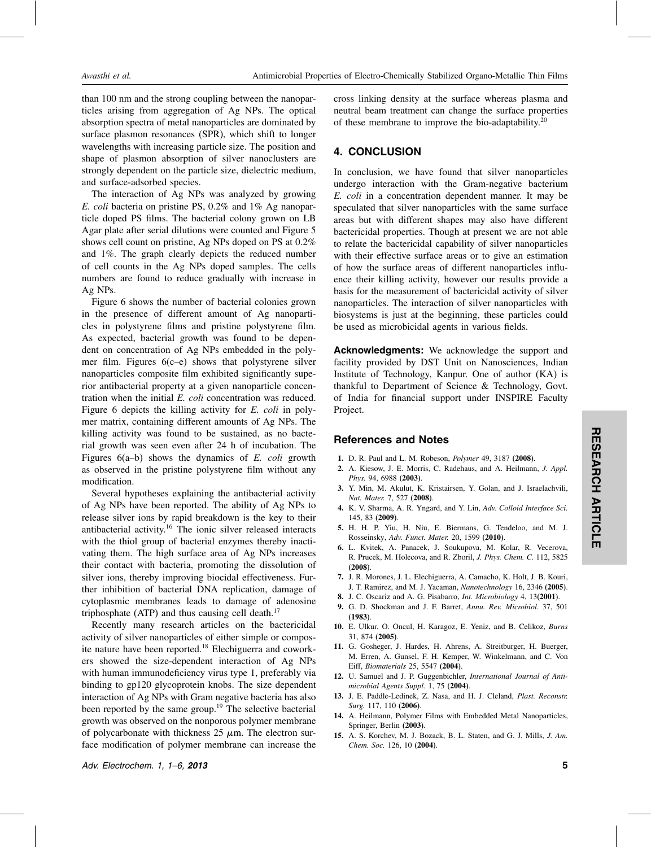than 100 nm and the strong coupling between the nanoparticles arising from aggregation of Ag NPs. The optical absorption spectra of metal nanoparticles are dominated by surface plasmon resonances (SPR), which shift to longer wavelengths with increasing particle size. The position and shape of plasmon absorption of silver nanoclusters are strongly dependent on the particle size, dielectric medium, and surface-adsorbed species.

The interaction of Ag NPs was analyzed by growing *E. coli* bacteria on pristine PS, 0.2% and 1% Ag nanoparticle doped PS films. The bacterial colony grown on LB Agar plate after serial dilutions were counted and Figure 5 shows cell count on pristine, Ag NPs doped on PS at 0.2% and 1%. The graph clearly depicts the reduced number of cell counts in the Ag NPs doped samples. The cells numbers are found to reduce gradually with increase in Ag NPs.

Figure 6 shows the number of bacterial colonies grown in the presence of different amount of Ag nanoparticles in polystyrene films and pristine polystyrene film. As expected, bacterial growth was found to be dependent on concentration of Ag NPs embedded in the polymer film. Figures 6(c–e) shows that polystyrene silver nanoparticles composite film exhibited significantly superior antibacterial property at a given nanoparticle concentration when the initial *E. coli* concentration was reduced. Figure 6 depicts the killing activity for *E. coli* in polymer matrix, containing different amounts of Ag NPs. The killing activity was found to be sustained, as no bacterial growth was seen even after 24 h of incubation. The Figures 6(a–b) shows the dynamics of *E. coli* growth as observed in the pristine polystyrene film without any modification.

Several hypotheses explaining the antibacterial activity of Ag NPs have been reported. The ability of Ag NPs to release silver ions by rapid breakdown is the key to their antibacterial activity.16 The ionic silver released interacts with the thiol group of bacterial enzymes thereby inactivating them. The high surface area of Ag NPs increases their contact with bacteria, promoting the dissolution of silver ions, thereby improving biocidal effectiveness. Further inhibition of bacterial DNA replication, damage of cytoplasmic membranes leads to damage of adenosine triphosphate (ATP) and thus causing cell death.<sup>17</sup>

Recently many research articles on the bactericidal activity of silver nanoparticles of either simple or composite nature have been reported.18 Elechiguerra and coworkers showed the size-dependent interaction of Ag NPs with human immunodeficiency virus type 1, preferably via binding to gp120 glycoprotein knobs. The size dependent interaction of Ag NPs with Gram negative bacteria has also been reported by the same group.<sup>19</sup> The selective bacterial growth was observed on the nonporous polymer membrane of polycarbonate with thickness  $25 \mu m$ . The electron surface modification of polymer membrane can increase the

Adv. Electrochem. 1, 1–6, 2013 5

cross linking density at the surface whereas plasma and neutral beam treatment can change the surface properties of these membrane to improve the bio-adaptability.<sup>20</sup>

## 4. CONCLUSION

In conclusion, we have found that silver nanoparticles undergo interaction with the Gram-negative bacterium *E. coli* in a concentration dependent manner. It may be speculated that silver nanoparticles with the same surface areas but with different shapes may also have different bactericidal properties. Though at present we are not able to relate the bactericidal capability of silver nanoparticles with their effective surface areas or to give an estimation of how the surface areas of different nanoparticles influence their killing activity, however our results provide a basis for the measurement of bactericidal activity of silver nanoparticles. The interaction of silver nanoparticles with biosystems is just at the beginning, these particles could be used as microbicidal agents in various fields.

Acknowledgments: We acknowledge the support and facility provided by DST Unit on Nanosciences, Indian Institute of Technology, Kanpur. One of author (KA) is thankful to Department of Science & Technology, Govt. of India for financial support under INSPIRE Faculty Project.

## References and Notes

- 1. D. R. Paul and L. M. Robeson, *Polymer* 49, 3187 (2008).
- 2. A. Kiesow, J. E. Morris, C. Radehaus, and A. Heilmann, *J. Appl. Phys.* 94, 6988 (2003).
- 3. Y. Min, M. Akulut, K. Kristairsen, Y. Golan, and J. Israelachvili, *Nat. Mater.* 7, 527 (2008).
- 4. K. V. Sharma, A. R. Yngard, and Y. Lin, *Adv. Colloid Interface Sci.* 145, 83 (2009).
- 5. H. H. P. Yiu, H. Niu, E. Biermans, G. Tendeloo, and M. J. Rosseinsky, *Adv. Funct. Mater.* 20, 1599 (2010).
- 6. L. Kvitek, A. Panacek, J. Soukupova, M. Kolar, R. Vecerova, R. Prucek, M. Holecova, and R. Zboril, *J. Phys. Chem. C.* 112, 5825 (2008).
- 7. J. R. Morones, J. L. Elechiguerra, A. Camacho, K. Holt, J. B. Kouri, J. T. Ramirez, and M. J. Yacaman, *Nanotechnology* 16, 2346 (2005).
- 8. J. C. Oscariz and A. G. Pisabarro, *Int. Microbiology* 4, 13(2001).
- 9. G. D. Shockman and J. F. Barret, *Annu. Rev. Microbiol.* 37, 501 (1983).
- 10. E. Ulkur, O. Oncul, H. Karagoz, E. Yeniz, and B. Celikoz, *Burns* 31, 874 (2005).
- 11. G. Gosheger, J. Hardes, H. Ahrens, A. Streitburger, H. Buerger, M. Erren, A. Gunsel, F. H. Kemper, W. Winkelmann, and C. Von Eiff, *Biomaterials* 25, 5547 (2004).
- 12. U. Samuel and J. P. Guggenbichler, *International Journal of Antimicrobial Agents Suppl.* 1, 75 (2004).
- 13. J. E. Paddle-Ledinek, Z. Nasa, and H. J. Cleland, *Plast. Reconstr. Surg.* 117, 110 (2006).
- 14. A. Heilmann, Polymer Films with Embedded Metal Nanoparticles, Springer, Berlin (2003).
- 15. A. S. Korchev, M. J. Bozack, B. L. Staten, and G. J. Mills, *J. Am. Chem. Soc.* 126, 10 (2004).